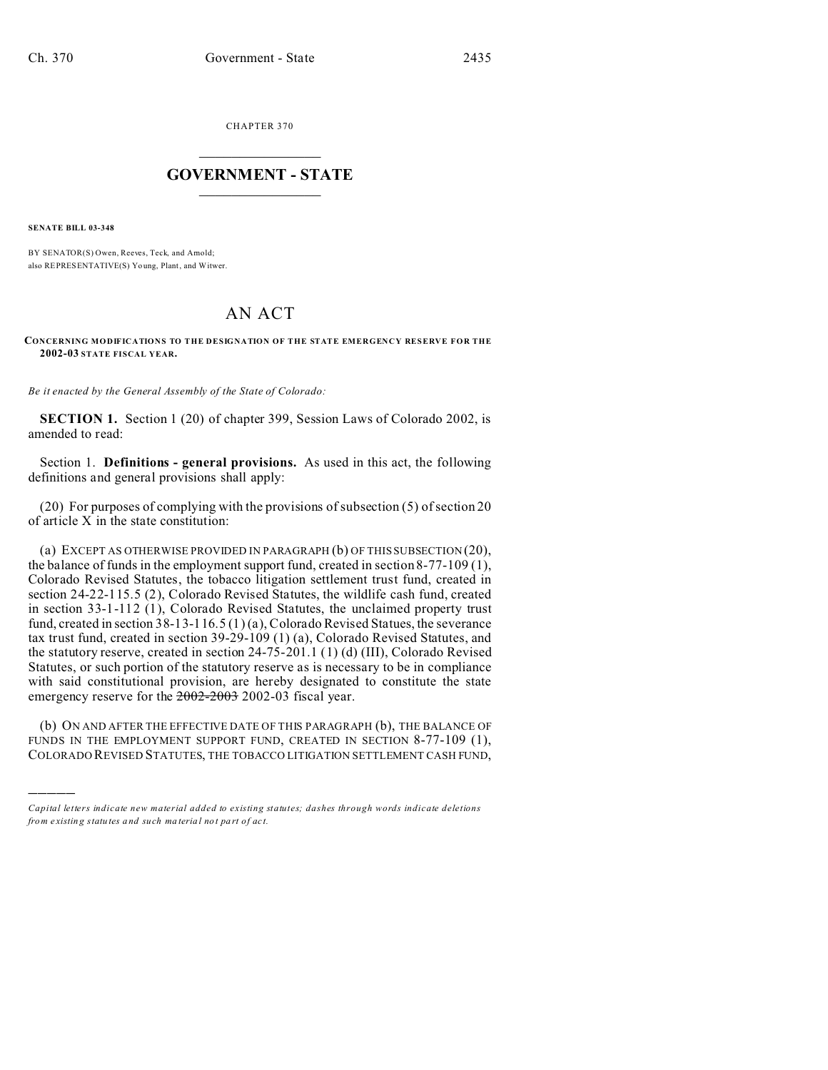CHAPTER 370  $\overline{\phantom{a}}$  , where  $\overline{\phantom{a}}$ 

## **GOVERNMENT - STATE**  $\_$   $\_$

**SENATE BILL 03-348**

)))))

BY SENATOR(S) Owen, Reeves, Teck, and Amold; also REPRESENTATIVE(S) Yo ung, Plant, and Witwer.

## AN ACT

## **CONCERNING MODIFICATIONS TO THE DESIGNATION OF THE STATE EMERGENCY RESERVE FOR THE 2002-03 STATE FISCAL YEAR.**

*Be it enacted by the General Assembly of the State of Colorado:*

**SECTION 1.** Section 1 (20) of chapter 399, Session Laws of Colorado 2002, is amended to read:

Section 1. **Definitions - general provisions.** As used in this act, the following definitions and general provisions shall apply:

(20) For purposes of complying with the provisions of subsection (5) of section 20 of article  $X$  in the state constitution:

(a) EXCEPT AS OTHERWISE PROVIDED IN PARAGRAPH (b) OF THIS SUBSECTION (20), the balance of funds in the employment support fund, created in section 8-77-109 (1), Colorado Revised Statutes, the tobacco litigation settlement trust fund, created in section 24-22-115.5 (2), Colorado Revised Statutes, the wildlife cash fund, created in section 33-1-112 (1), Colorado Revised Statutes, the unclaimed property trust fund, created in section 38-13-116.5 (1) (a), Colorado Revised Statues, the severance tax trust fund, created in section 39-29-109 (1) (a), Colorado Revised Statutes, and the statutory reserve, created in section 24-75-201.1 (1) (d) (III), Colorado Revised Statutes, or such portion of the statutory reserve as is necessary to be in compliance with said constitutional provision, are hereby designated to constitute the state emergency reserve for the  $2002-2003$  2002-03 fiscal year.

(b) ON AND AFTER THE EFFECTIVE DATE OF THIS PARAGRAPH (b), THE BALANCE OF FUNDS IN THE EMPLOYMENT SUPPORT FUND, CREATED IN SECTION 8-77-109 (1), COLORADO REVISED STATUTES, THE TOBACCO LITIGATION SETTLEMENT CASH FUND,

*Capital letters indicate new material added to existing statutes; dashes through words indicate deletions from e xistin g statu tes a nd such ma teria l no t pa rt of ac t.*